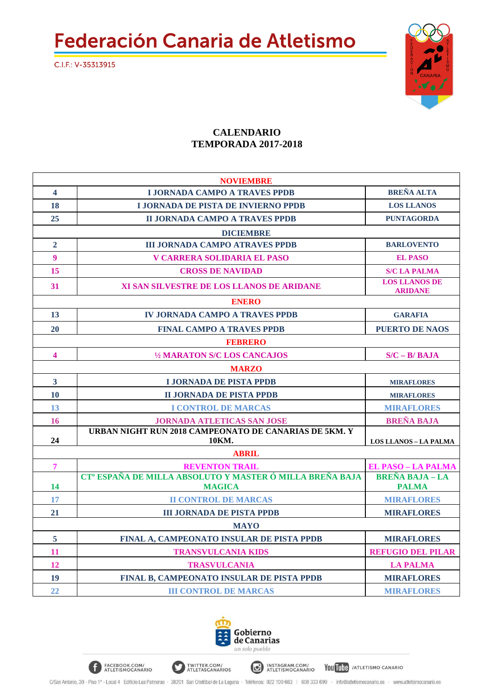**Federación Canaria de Atletismo** 



## **CALENDARIO TEMPORADA 2017-2018**

| <b>NOVIEMBRE</b>        |                                                                      |                                        |  |
|-------------------------|----------------------------------------------------------------------|----------------------------------------|--|
| $\overline{\mathbf{4}}$ | <b>LIORNADA CAMPO A TRAVES PPDB</b>                                  | <b>BREÑA ALTA</b>                      |  |
| 18                      | <b>LIORNADA DE PISTA DE INVIERNO PPDB</b>                            | <b>LOS LLANOS</b>                      |  |
| 25                      | <b>II JORNADA CAMPO A TRAVES PPDB</b>                                | <b>PUNTAGORDA</b>                      |  |
| <b>DICIEMBRE</b>        |                                                                      |                                        |  |
| $\overline{2}$          | <b>III JORNADA CAMPO ATRAVES PPDB</b>                                | <b>BARLOVENTO</b>                      |  |
| $\overline{9}$          | <b>V CARRERA SOLIDARIA EL PASO</b>                                   | <b>EL PASO</b>                         |  |
| 15                      | <b>CROSS DE NAVIDAD</b>                                              | <b>S/C LA PALMA</b>                    |  |
| 31                      | XI SAN SILVESTRE DE LOS LLANOS DE ARIDANE                            | <b>LOS LLANOS DE</b><br><b>ARIDANE</b> |  |
| <b>ENERO</b>            |                                                                      |                                        |  |
| 13                      | <b>IV JORNADA CAMPO A TRAVES PPDB</b>                                | <b>GARAFIA</b>                         |  |
| 20                      | <b>FINAL CAMPO A TRAVES PPDB</b>                                     | <b>PUERTO DE NAOS</b>                  |  |
| <b>FEBRERO</b>          |                                                                      |                                        |  |
| $\overline{\mathbf{4}}$ | 1/2 MARATON S/C LOS CANCAJOS                                         | $S/C - B/BAJA$                         |  |
| <b>MARZO</b>            |                                                                      |                                        |  |
| 3 <sup>1</sup>          | <b>I JORNADA DE PISTA PPDB</b>                                       | <b>MIRAFLORES</b>                      |  |
| 10                      | <b>II JORNADA DE PISTA PPDB</b>                                      | <b>MIRAFLORES</b>                      |  |
| 13                      | <b>I CONTROL DE MARCAS</b>                                           | <b>MIRAFLORES</b>                      |  |
| 16                      | <b>JORNADA ATLETICAS SAN JOSE</b>                                    | <b>BREÑA BAJA</b>                      |  |
| 24                      | URBAN NIGHT RUN 2018 CAMPEONATO DE CANARIAS DE 5KM. Y<br>10KM.       | <b>LOS LLANOS - LA PALMA</b>           |  |
|                         | <b>ABRIL</b>                                                         |                                        |  |
| $\overline{7}$          | <b>REVENTON TRAIL</b>                                                | <b>EL PASO - LA PALMA</b>              |  |
|                         | CT <sup>°</sup> ESPAÑA DE MILLA ABSOLUTO Y MASTER Ó MILLA BREÑA BAJA | <b>BREÑA BAJA - LA</b>                 |  |
| 14                      | <b>MAGICA</b>                                                        | <b>PALMA</b>                           |  |
| 17                      | <b>II CONTROL DE MARCAS</b>                                          | <b>MIRAFLORES</b>                      |  |
| 21                      | <b>III JORNADA DE PISTA PPDB</b>                                     | <b>MIRAFLORES</b>                      |  |
| <b>MAYO</b>             |                                                                      |                                        |  |
| 5                       | FINAL A, CAMPEONATO INSULAR DE PISTA PPDB                            | <b>MIRAFLORES</b>                      |  |
| 11                      | <b>TRANSVULCANIA KIDS</b>                                            | <b>REFUGIO DEL PILAR</b>               |  |
| 12                      | <b>TRASVULCANIA</b>                                                  | <b>LA PALMA</b>                        |  |
| 19                      | FINAL B, CAMPEONATO INSULAR DE PISTA PPDB                            | <b>MIRAFLORES</b>                      |  |
| 22                      | <b>III CONTROL DE MARCAS</b>                                         | <b>MIRAFLORES</b>                      |  |



INSTAGRAM.COM/<br>ATLETISMOCANARIO

You Tube / ATLETISMO CANARIO

TWITTER.COM/<br>ATLETASCANARIOS

FACEBOOK.COM/<br>ATLETISMOCANARIO